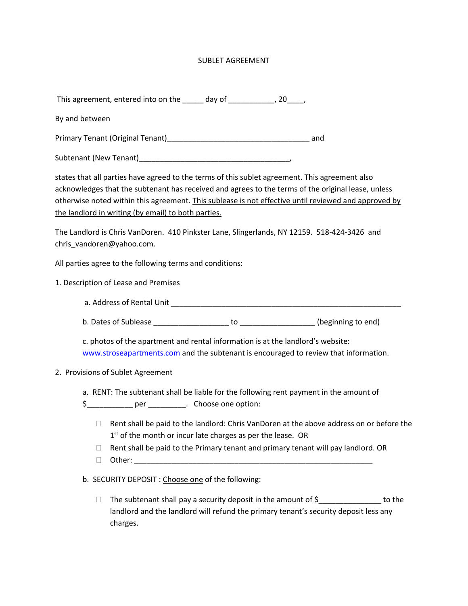## SUBLET AGREEMENT

| This agreement, entered into on the | day of |  |
|-------------------------------------|--------|--|
|-------------------------------------|--------|--|

By and between

Primary Tenant (Original Tenant)\_\_\_\_\_\_\_\_\_\_\_\_\_\_\_\_\_\_\_\_\_\_\_\_\_\_\_\_\_\_\_\_\_\_ and

Subtenant (New Tenant)\_\_\_\_\_\_\_\_\_\_\_\_\_\_\_\_\_\_\_\_\_\_\_\_\_\_\_\_\_\_\_\_\_\_\_\_,

states that all parties have agreed to the terms of this sublet agreement. This agreement also acknowledges that the subtenant has received and agrees to the terms of the original lease, unless otherwise noted within this agreement. This sublease is not effective until reviewed and approved by the landlord in writing (by email) to both parties.

The Landlord is Chris VanDoren. 410 Pinkster Lane, Slingerlands, NY 12159. 518-424-3426 and chris\_vandoren@yahoo.com.

All parties agree to the following terms and conditions:

- 1. Description of Lease and Premises
	- a. Address of Rental Unit \_\_\_\_\_\_\_\_\_\_\_\_\_\_\_\_\_\_\_\_\_\_\_\_\_\_\_\_\_\_\_\_\_\_\_\_\_\_\_\_\_\_\_\_\_\_\_\_\_\_\_\_\_\_\_

b. Dates of Sublease \_\_\_\_\_\_\_\_\_\_\_\_\_\_\_\_\_\_ to \_\_\_\_\_\_\_\_\_\_\_\_\_\_\_\_\_\_ (beginning to end)

c. photos of the apartment and rental information is at the landlord's website: [www.stroseapartments.com](http://www.stroseapartments.com/) and the subtenant is encouraged to review that information.

## 2. Provisions of Sublet Agreement

- a. RENT: The subtenant shall be liable for the following rent payment in the amount of
- \$\_\_\_\_\_\_\_\_\_\_\_ per \_\_\_\_\_\_\_\_\_. Choose one option:
	- $\Box$  Rent shall be paid to the landlord: Chris VanDoren at the above address on or before the 1<sup>st</sup> of the month or incur late charges as per the lease. OR
	- $\Box$  Rent shall be paid to the Primary tenant and primary tenant will pay landlord. OR
	- $\Box$  Other:

b. SECURITY DEPOSIT : Choose one of the following:

 $\Box$  The subtenant shall pay a security deposit in the amount of  $\zeta$  [100] to the landlord and the landlord will refund the primary tenant's security deposit less any charges.